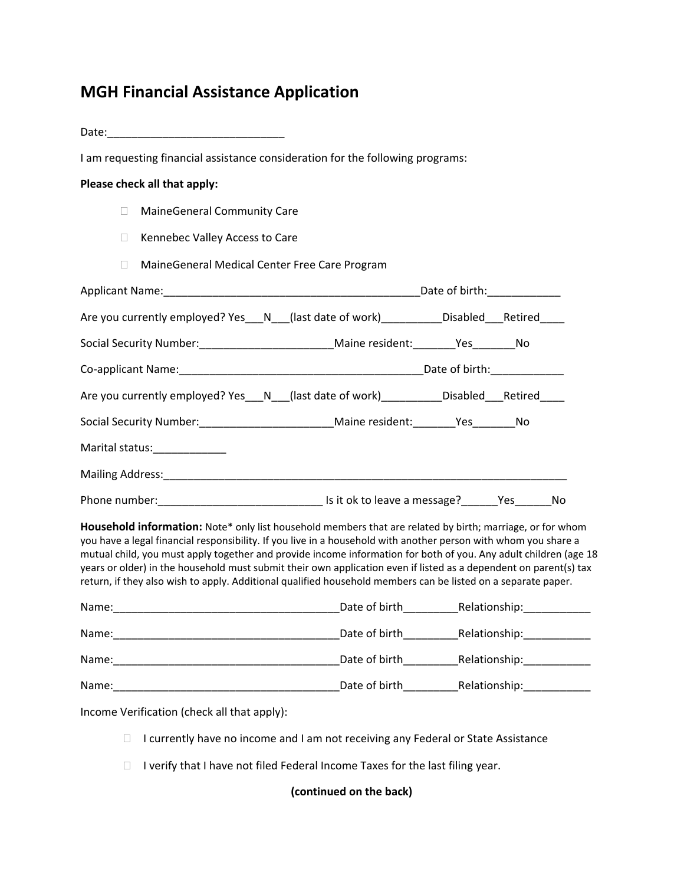## **MGH Financial Assistance Application**

Date:\_\_\_\_\_\_\_\_\_\_\_\_\_\_\_\_\_\_\_\_\_\_\_\_\_\_\_\_\_

I am requesting financial assistance consideration for the following programs:

### **Please check all that apply:**

- □ MaineGeneral Community Care
- □ Kennebec Valley Access to Care
- MaineGeneral Medical Center Free Care Program

| Are you currently employed? Yes___N__(last date of work)__________Disabled___Retired____                                                                                                                                                                                                                                                                                                                                                                                                                                                                                               |  |  |  |  |
|----------------------------------------------------------------------------------------------------------------------------------------------------------------------------------------------------------------------------------------------------------------------------------------------------------------------------------------------------------------------------------------------------------------------------------------------------------------------------------------------------------------------------------------------------------------------------------------|--|--|--|--|
| Social Security Number:____________________________Maine resident:________Yes_________No                                                                                                                                                                                                                                                                                                                                                                                                                                                                                               |  |  |  |  |
|                                                                                                                                                                                                                                                                                                                                                                                                                                                                                                                                                                                        |  |  |  |  |
| Are you currently employed? Yes___N__(last date of work)__________Disabled___Retired____                                                                                                                                                                                                                                                                                                                                                                                                                                                                                               |  |  |  |  |
| Social Security Number:____________________________Maine resident:________Yes_________No                                                                                                                                                                                                                                                                                                                                                                                                                                                                                               |  |  |  |  |
| Marital status:_____________                                                                                                                                                                                                                                                                                                                                                                                                                                                                                                                                                           |  |  |  |  |
|                                                                                                                                                                                                                                                                                                                                                                                                                                                                                                                                                                                        |  |  |  |  |
|                                                                                                                                                                                                                                                                                                                                                                                                                                                                                                                                                                                        |  |  |  |  |
| Household information: Note* only list household members that are related by birth; marriage, or for whom<br>you have a legal financial responsibility. If you live in a household with another person with whom you share a<br>mutual child, you must apply together and provide income information for both of you. Any adult children (age 18<br>years or older) in the household must submit their own application even if listed as a dependent on parent(s) tax<br>return, if they also wish to apply. Additional qualified household members can be listed on a separate paper. |  |  |  |  |

| Name: | Date of birth | Relationship: |
|-------|---------------|---------------|
| Name: | Date of birth | Relationship: |
| Name: | Date of birth | Relationship: |
| Name: | Date of birth | Relationship: |

Income Verification (check all that apply):

- □ I currently have no income and I am not receiving any Federal or State Assistance
- $\Box$  I verify that I have not filed Federal Income Taxes for the last filing year.

**(continued on the back)**